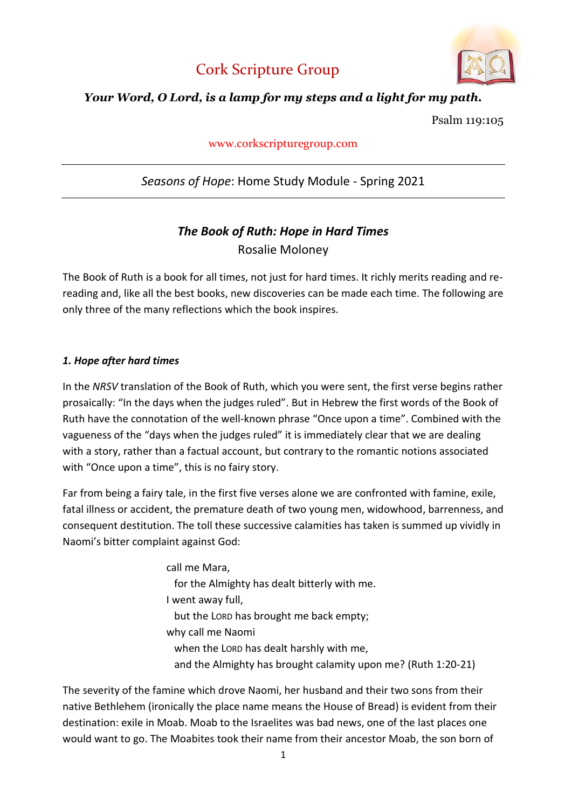



## *Your Word, O Lord, is a lamp for my steps and a light for my path.*

Psalm 119:105

## www.corkscripturegroup.com

# *Seasons of Hope*: Home Study Module - Spring 2021

# *The Book of Ruth: Hope in Hard Times* Rosalie Moloney

The Book of Ruth is a book for all times, not just for hard times. It richly merits reading and rereading and, like all the best books, new discoveries can be made each time. The following are only three of the many reflections which the book inspires.

### *1. Hope after hard times*

In the *NRSV* translation of the Book of Ruth, which you were sent, the first verse begins rather prosaically: "In the days when the judges ruled". But in Hebrew the first words of the Book of Ruth have the connotation of the well-known phrase "Once upon a time". Combined with the vagueness of the "days when the judges ruled" it is immediately clear that we are dealing with a story, rather than a factual account, but contrary to the romantic notions associated with "Once upon a time", this is no fairy story.

Far from being a fairy tale, in the first five verses alone we are confronted with famine, exile, fatal illness or accident, the premature death of two young men, widowhood, barrenness, and consequent destitution. The toll these successive calamities has taken is summed up vividly in Naomi's bitter complaint against God:

> call me Mara, for the Almighty has dealt bitterly with me. I went away full, but the LORD has brought me back empty; why call me Naomi when the LORD has dealt harshly with me, and the Almighty has brought calamity upon me? (Ruth 1:20-21)

The severity of the famine which drove Naomi, her husband and their two sons from their native Bethlehem (ironically the place name means the House of Bread) is evident from their destination: exile in Moab. Moab to the Israelites was bad news, one of the last places one would want to go. The Moabites took their name from their ancestor Moab, the son born of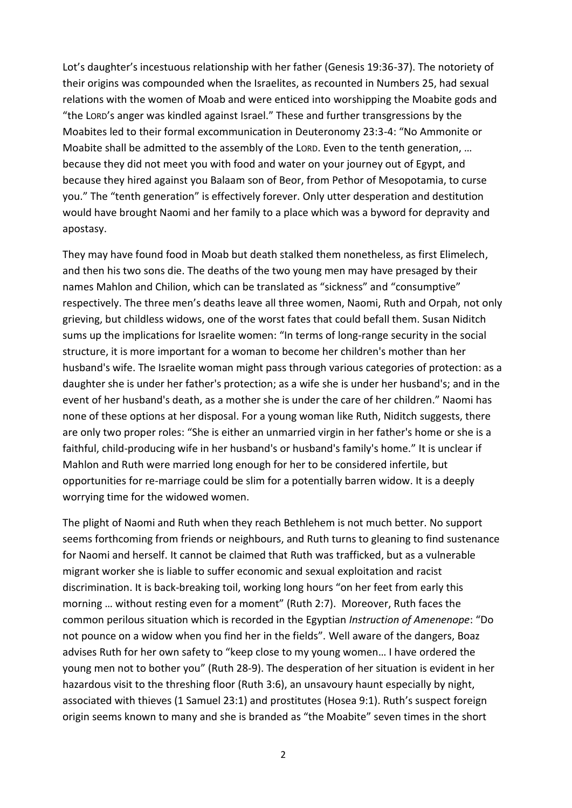Lot's daughter's incestuous relationship with her father (Genesis 19:36-37). The notoriety of their origins was compounded when the Israelites, as recounted in Numbers 25, had sexual relations with the women of Moab and were enticed into worshipping the Moabite gods and "the LORD's anger was kindled against Israel." These and further transgressions by the Moabites led to their formal excommunication in Deuteronomy 23:3-4: "No Ammonite or Moabite shall be admitted to the assembly of the LORD. Even to the tenth generation, … because they did not meet you with food and water on your journey out of Egypt, and because they hired against you Balaam son of Beor, from Pethor of Mesopotamia, to curse you." The "tenth generation" is effectively forever. Only utter desperation and destitution would have brought Naomi and her family to a place which was a byword for depravity and apostasy.

They may have found food in Moab but death stalked them nonetheless, as first Elimelech, and then his two sons die. The deaths of the two young men may have presaged by their names Mahlon and Chilion, which can be translated as "sickness" and "consumptive" respectively. The three men's deaths leave all three women, Naomi, Ruth and Orpah, not only grieving, but childless widows, one of the worst fates that could befall them. Susan Niditch sums up the implications for Israelite women: "In terms of long-range security in the social structure, it is more important for a woman to become her children's mother than her husband's wife. The Israelite woman might pass through various categories of protection: as a daughter she is under her father's protection; as a wife she is under her husband's; and in the event of her husband's death, as a mother she is under the care of her children." Naomi has none of these options at her disposal. For a young woman like Ruth, Niditch suggests, there are only two proper roles: "She is either an unmarried virgin in her father's home or she is a faithful, child-producing wife in her husband's or husband's family's home." It is unclear if Mahlon and Ruth were married long enough for her to be considered infertile, but opportunities for re-marriage could be slim for a potentially barren widow. It is a deeply worrying time for the widowed women.

The plight of Naomi and Ruth when they reach Bethlehem is not much better. No support seems forthcoming from friends or neighbours, and Ruth turns to gleaning to find sustenance for Naomi and herself. It cannot be claimed that Ruth was trafficked, but as a vulnerable migrant worker she is liable to suffer economic and sexual exploitation and racist discrimination. It is back-breaking toil, working long hours "on her feet from early this morning … without resting even for a moment" (Ruth 2:7). Moreover, Ruth faces the common perilous situation which is recorded in the Egyptian *Instruction of Amenenope*: "Do not pounce on a widow when you find her in the fields". Well aware of the dangers, Boaz advises Ruth for her own safety to "keep close to my young women… I have ordered the young men not to bother you" (Ruth 28-9). The desperation of her situation is evident in her hazardous visit to the threshing floor (Ruth 3:6), an unsavoury haunt especially by night, associated with thieves (1 Samuel 23:1) and prostitutes (Hosea 9:1). Ruth's suspect foreign origin seems known to many and she is branded as "the Moabite" seven times in the short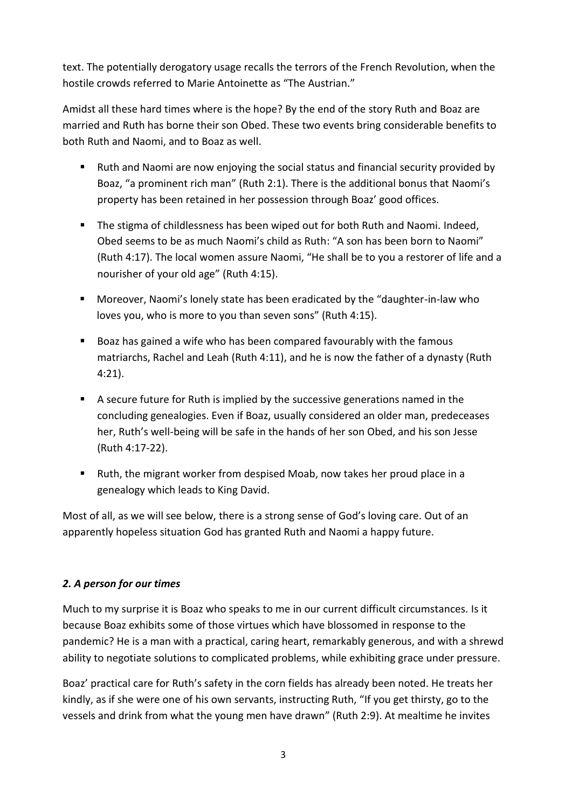text. The potentially derogatory usage recalls the terrors of the French Revolution, when the hostile crowds referred to Marie Antoinette as "The Austrian."

Amidst all these hard times where is the hope? By the end of the story Ruth and Boaz are married and Ruth has borne their son Obed. These two events bring considerable benefits to both Ruth and Naomi, and to Boaz as well.

- Ruth and Naomi are now enjoying the social status and financial security provided by Boaz, "a prominent rich man" (Ruth 2:1). There is the additional bonus that Naomi's property has been retained in her possession through Boaz' good offices.
- The stigma of childlessness has been wiped out for both Ruth and Naomi. Indeed, Obed seems to be as much Naomi's child as Ruth: "A son has been born to Naomi" (Ruth 4:17). The local women assure Naomi, "He shall be to you a restorer of life and a nourisher of your old age" (Ruth 4:15).
- Moreover, Naomi's lonely state has been eradicated by the "daughter-in-law who loves you, who is more to you than seven sons" (Ruth 4:15).
- Boaz has gained a wife who has been compared favourably with the famous matriarchs, Rachel and Leah (Ruth 4:11), and he is now the father of a dynasty (Ruth 4:21).
- A secure future for Ruth is implied by the successive generations named in the concluding genealogies. Even if Boaz, usually considered an older man, predeceases her, Ruth's well-being will be safe in the hands of her son Obed, and his son Jesse (Ruth 4:17-22).
- Ruth, the migrant worker from despised Moab, now takes her proud place in a genealogy which leads to King David.

Most of all, as we will see below, there is a strong sense of God's loving care. Out of an apparently hopeless situation God has granted Ruth and Naomi a happy future.

## *2. A person for our times*

Much to my surprise it is Boaz who speaks to me in our current difficult circumstances. Is it because Boaz exhibits some of those virtues which have blossomed in response to the pandemic? He is a man with a practical, caring heart, remarkably generous, and with a shrewd ability to negotiate solutions to complicated problems, while exhibiting grace under pressure.

Boaz' practical care for Ruth's safety in the corn fields has already been noted. He treats her kindly, as if she were one of his own servants, instructing Ruth, "If you get thirsty, go to the vessels and drink from what the young men have drawn" (Ruth 2:9). At mealtime he invites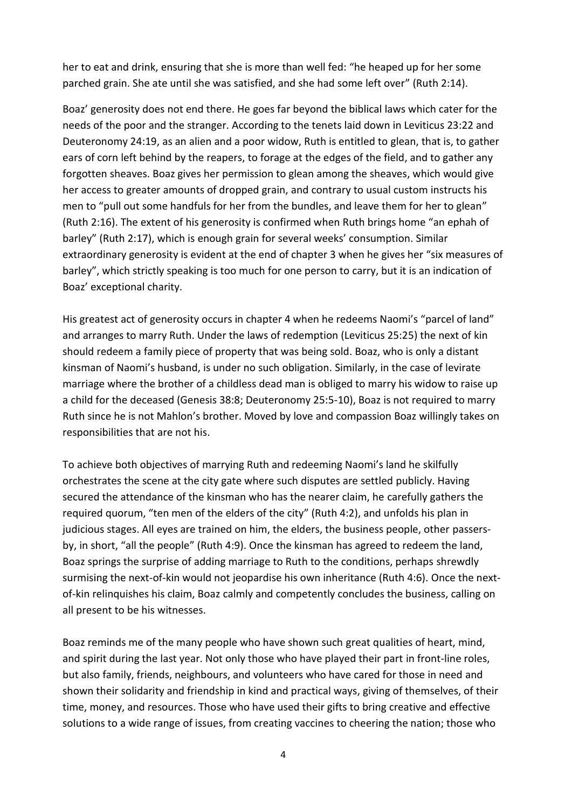her to eat and drink, ensuring that she is more than well fed: "he heaped up for her some parched grain. She ate until she was satisfied, and she had some left over" (Ruth 2:14).

Boaz' generosity does not end there. He goes far beyond the biblical laws which cater for the needs of the poor and the stranger. According to the tenets laid down in Leviticus 23:22 and Deuteronomy 24:19, as an alien and a poor widow, Ruth is entitled to glean, that is, to gather ears of corn left behind by the reapers, to forage at the edges of the field, and to gather any forgotten sheaves. Boaz gives her permission to glean among the sheaves, which would give her access to greater amounts of dropped grain, and contrary to usual custom instructs his men to "pull out some handfuls for her from the bundles, and leave them for her to glean" (Ruth 2:16). The extent of his generosity is confirmed when Ruth brings home "an ephah of barley" (Ruth 2:17), which is enough grain for several weeks' consumption. Similar extraordinary generosity is evident at the end of chapter 3 when he gives her "six measures of barley", which strictly speaking is too much for one person to carry, but it is an indication of Boaz' exceptional charity.

His greatest act of generosity occurs in chapter 4 when he redeems Naomi's "parcel of land" and arranges to marry Ruth. Under the laws of redemption (Leviticus 25:25) the next of kin should redeem a family piece of property that was being sold. Boaz, who is only a distant kinsman of Naomi's husband, is under no such obligation. Similarly, in the case of levirate marriage where the brother of a childless dead man is obliged to marry his widow to raise up a child for the deceased (Genesis 38:8; Deuteronomy 25:5-10), Boaz is not required to marry Ruth since he is not Mahlon's brother. Moved by love and compassion Boaz willingly takes on responsibilities that are not his.

To achieve both objectives of marrying Ruth and redeeming Naomi's land he skilfully orchestrates the scene at the city gate where such disputes are settled publicly. Having secured the attendance of the kinsman who has the nearer claim, he carefully gathers the required quorum, "ten men of the elders of the city" (Ruth 4:2), and unfolds his plan in judicious stages. All eyes are trained on him, the elders, the business people, other passersby, in short, "all the people" (Ruth 4:9). Once the kinsman has agreed to redeem the land, Boaz springs the surprise of adding marriage to Ruth to the conditions, perhaps shrewdly surmising the next-of-kin would not jeopardise his own inheritance (Ruth 4:6). Once the nextof-kin relinquishes his claim, Boaz calmly and competently concludes the business, calling on all present to be his witnesses.

Boaz reminds me of the many people who have shown such great qualities of heart, mind, and spirit during the last year. Not only those who have played their part in front-line roles, but also family, friends, neighbours, and volunteers who have cared for those in need and shown their solidarity and friendship in kind and practical ways, giving of themselves, of their time, money, and resources. Those who have used their gifts to bring creative and effective solutions to a wide range of issues, from creating vaccines to cheering the nation; those who

4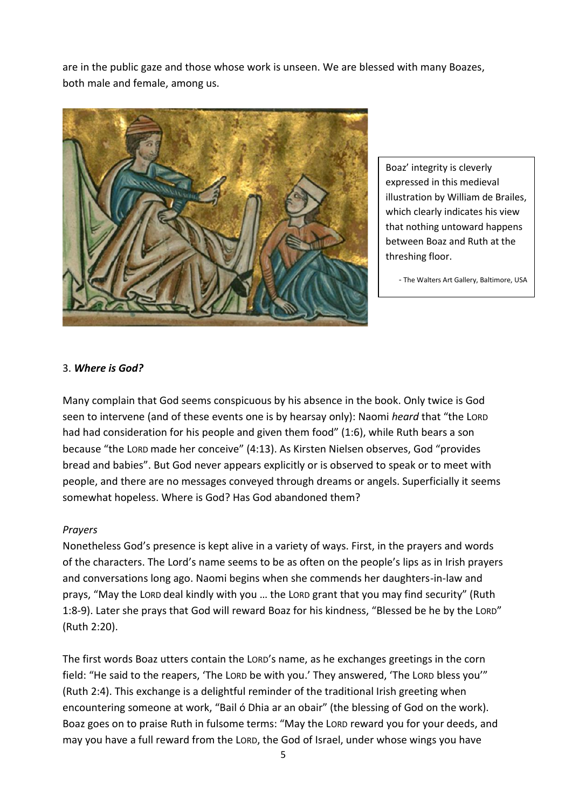are in the public gaze and those whose work is unseen. We are blessed with many Boazes, both male and female, among us.



Boaz' integrity is cleverly expressed in this medieval illustration by William de Brailes, which clearly indicates his view that nothing untoward happens between Boaz and Ruth at the threshing floor.

- The Walters Art Gallery, Baltimore, USA

#### 3. *Where is God?*

Many complain that God seems conspicuous by his absence in the book. Only twice is God seen to intervene (and of these events one is by hearsay only): Naomi *heard* that "the LORD had had consideration for his people and given them food" (1:6), while Ruth bears a son because "the LORD made her conceive" (4:13). As Kirsten Nielsen observes, God "provides bread and babies". But God never appears explicitly or is observed to speak or to meet with people, and there are no messages conveyed through dreams or angels. Superficially it seems somewhat hopeless. Where is God? Has God abandoned them?

#### *Prayers*

Nonetheless God's presence is kept alive in a variety of ways. First, in the prayers and words of the characters. The Lord's name seems to be as often on the people's lips as in Irish prayers and conversations long ago. Naomi begins when she commends her daughters-in-law and prays, "May the LORD deal kindly with you … the LORD grant that you may find security" (Ruth 1:8-9). Later she prays that God will reward Boaz for his kindness, "Blessed be he by the LORD" (Ruth 2:20).

The first words Boaz utters contain the LORD's name, as he exchanges greetings in the corn field: "He said to the reapers, 'The LORD be with you.' They answered, 'The LORD bless you'" (Ruth 2:4). This exchange is a delightful reminder of the traditional Irish greeting when encountering someone at work, "Bail ó Dhia ar an obair" (the blessing of God on the work). Boaz goes on to praise Ruth in fulsome terms: "May the LORD reward you for your deeds, and may you have a full reward from the LORD, the God of Israel, under whose wings you have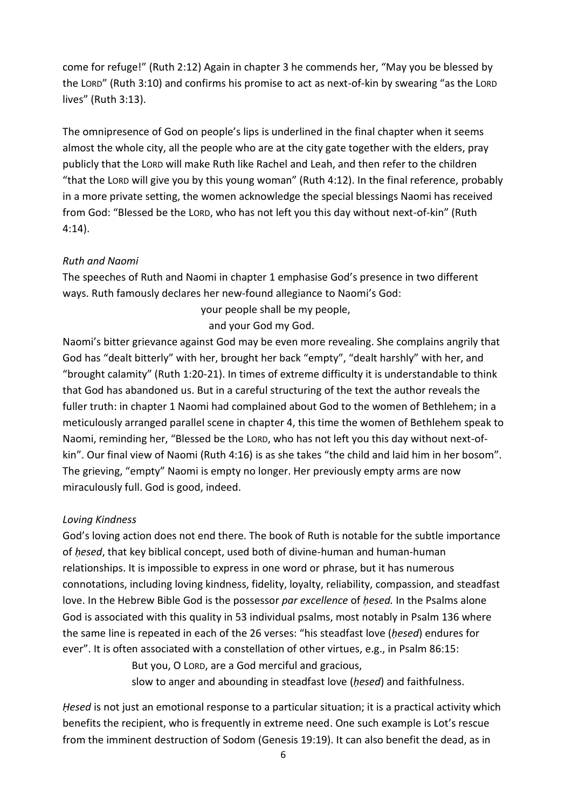come for refuge!" (Ruth 2:12) Again in chapter 3 he commends her, "May you be blessed by the LORD" (Ruth 3:10) and confirms his promise to act as next-of-kin by swearing "as the LORD lives" (Ruth 3:13).

The omnipresence of God on people's lips is underlined in the final chapter when it seems almost the whole city, all the people who are at the city gate together with the elders, pray publicly that the LORD will make Ruth like Rachel and Leah, and then refer to the children "that the LORD will give you by this young woman" (Ruth 4:12). In the final reference, probably in a more private setting, the women acknowledge the special blessings Naomi has received from God: "Blessed be the LORD, who has not left you this day without next-of-kin" (Ruth 4:14).

## *Ruth and Naomi*

The speeches of Ruth and Naomi in chapter 1 emphasise God's presence in two different ways. Ruth famously declares her new-found allegiance to Naomi's God:

your people shall be my people,

and your God my God.

Naomi's bitter grievance against God may be even more revealing. She complains angrily that God has "dealt bitterly" with her, brought her back "empty", "dealt harshly" with her, and "brought calamity" (Ruth 1:20-21). In times of extreme difficulty it is understandable to think that God has abandoned us. But in a careful structuring of the text the author reveals the fuller truth: in chapter 1 Naomi had complained about God to the women of Bethlehem; in a meticulously arranged parallel scene in chapter 4, this time the women of Bethlehem speak to Naomi, reminding her, "Blessed be the LORD, who has not left you this day without next-ofkin". Our final view of Naomi (Ruth 4:16) is as she takes "the child and laid him in her bosom". The grieving, "empty" Naomi is empty no longer. Her previously empty arms are now miraculously full. God is good, indeed.

## *Loving Kindness*

God's loving action does not end there. The book of Ruth is notable for the subtle importance of *ḥesed*, that key biblical concept, used both of divine-human and human-human relationships. It is impossible to express in one word or phrase, but it has numerous connotations, including loving kindness, fidelity, loyalty, reliability, compassion, and steadfast love. In the Hebrew Bible God is the possessor *par excellence* of *ḥesed.* In the Psalms alone God is associated with this quality in 53 individual psalms, most notably in Psalm 136 where the same line is repeated in each of the 26 verses: "his steadfast love (*ḥesed*) endures for ever". It is often associated with a constellation of other virtues, e.g., in Psalm 86:15:

> But you, O LORD, are a God merciful and gracious, slow to anger and abounding in steadfast love (*ḥesed*) and faithfulness.

*Ḥesed* is not just an emotional response to a particular situation; it is a practical activity which benefits the recipient, who is frequently in extreme need. One such example is Lot's rescue from the imminent destruction of Sodom (Genesis 19:19). It can also benefit the dead, as in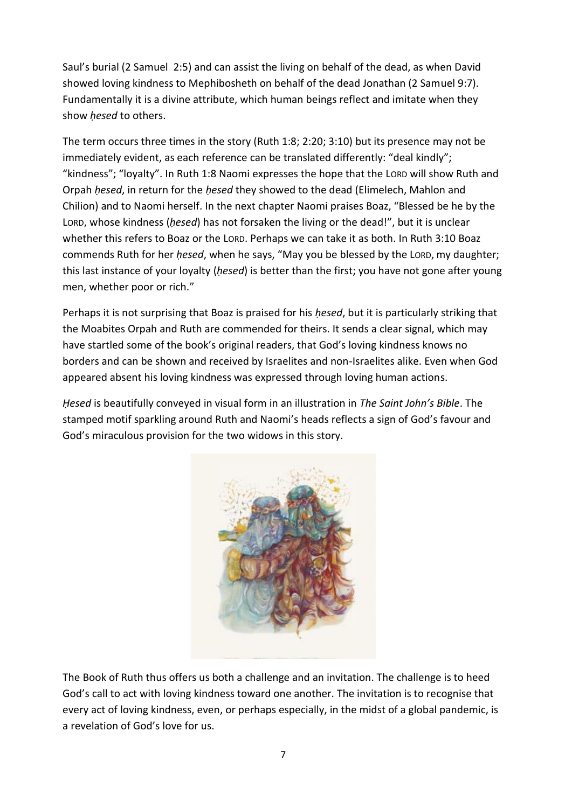Saul's burial (2 Samuel 2:5) and can assist the living on behalf of the dead, as when David showed loving kindness to Mephibosheth on behalf of the dead Jonathan (2 Samuel 9:7). Fundamentally it is a divine attribute, which human beings reflect and imitate when they show *hesed* to others.

The term occurs three times in the story (Ruth 1:8; 2:20; 3:10) but its presence may not be immediately evident, as each reference can be translated differently: "deal kindly"; "kindness"; "loyalty". In Ruth 1:8 Naomi expresses the hope that the LORD will show Ruth and Orpah *ḥesed*, in return for the *ḥesed* they showed to the dead (Elimelech, Mahlon and Chilion) and to Naomi herself. In the next chapter Naomi praises Boaz, "Blessed be he by the LORD, whose kindness (*ḥesed*) has not forsaken the living or the dead!", but it is unclear whether this refers to Boaz or the LORD. Perhaps we can take it as both. In Ruth 3:10 Boaz commends Ruth for her *ḥesed*, when he says, "May you be blessed by the LORD, my daughter; this last instance of your loyalty (*ḥesed*) is better than the first; you have not gone after young men, whether poor or rich."

Perhaps it is not surprising that Boaz is praised for his *ḥesed*, but it is particularly striking that the Moabites Orpah and Ruth are commended for theirs. It sends a clear signal, which may have startled some of the book's original readers, that God's loving kindness knows no borders and can be shown and received by Israelites and non-Israelites alike. Even when God appeared absent his loving kindness was expressed through loving human actions.

*Ḥesed* is beautifully conveyed in visual form in an illustration in *The Saint John's Bible*. The stamped motif sparkling around Ruth and Naomi's heads reflects a sign of God's favour and God's miraculous provision for the two widows in this story.



The Book of Ruth thus offers us both a challenge and an invitation. The challenge is to heed God's call to act with loving kindness toward one another. The invitation is to recognise that every act of loving kindness, even, or perhaps especially, in the midst of a global pandemic, is a revelation of God's love for us.